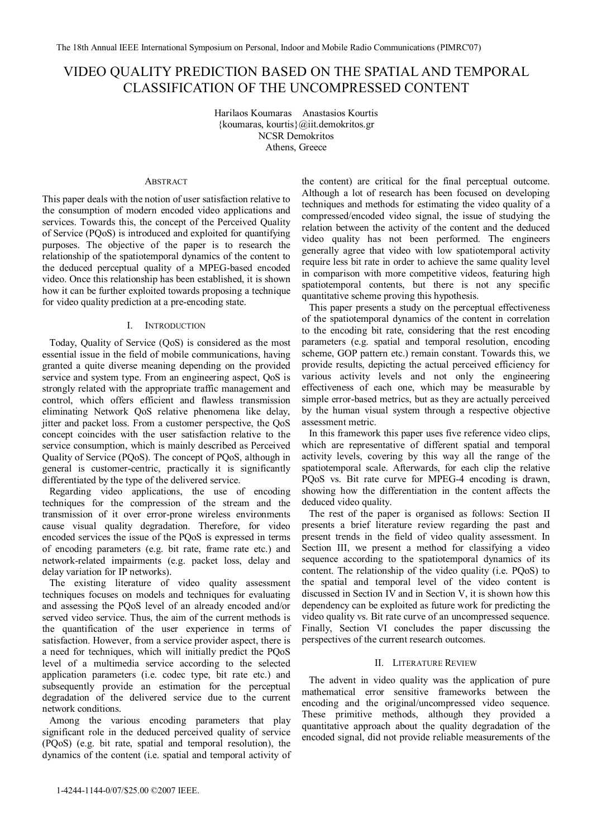# VIDEO QUALITY PREDICTION BASED ON THE SPATIAL AND TEMPORAL CLASSIFICATION OF THE UNCOMPRESSED CONTENT

Harilaos Koumaras Anastasios Kourtis {koumaras, kourtis}@iit.demokritos.gr NCSR Demokritos Athens, Greece

### **ABSTRACT**

This paper deals with the notion of user satisfaction relative to the consumption of modern encoded video applications and services. Towards this, the concept of the Perceived Quality of Service (PQoS) is introduced and exploited for quantifying purposes. The objective of the paper is to research the relationship of the spatiotemporal dynamics of the content to the deduced perceptual quality of a MPEG-based encoded video. Once this relationship has been established, it is shown how it can be further exploited towards proposing a technique for video quality prediction at a pre-encoding state.

# I. INTRODUCTION

Today, Quality of Service (QoS) is considered as the most essential issue in the field of mobile communications, having granted a quite diverse meaning depending on the provided service and system type. From an engineering aspect, QoS is strongly related with the appropriate traffic management and control, which offers efficient and flawless transmission eliminating Network QoS relative phenomena like delay, jitter and packet loss. From a customer perspective, the QoS concept coincides with the user satisfaction relative to the service consumption, which is mainly described as Perceived Quality of Service (PQoS). The concept of PQoS, although in general is customer-centric, practically it is significantly differentiated by the type of the delivered service.

Regarding video applications, the use of encoding techniques for the compression of the stream and the transmission of it over error-prone wireless environments cause visual quality degradation. Therefore, for video encoded services the issue of the PQoS is expressed in terms of encoding parameters (e.g. bit rate, frame rate etc.) and network-related impairments (e.g. packet loss, delay and delay variation for IP networks).

The existing literature of video quality assessment techniques focuses on models and techniques for evaluating and assessing the PQoS level of an already encoded and/or served video service. Thus, the aim of the current methods is the quantification of the user experience in terms of satisfaction. However, from a service provider aspect, there is a need for techniques, which will initially predict the PQoS level of a multimedia service according to the selected application parameters (i.e. codec type, bit rate etc.) and subsequently provide an estimation for the perceptual degradation of the delivered service due to the current network conditions.

Among the various encoding parameters that play significant role in the deduced perceived quality of service (PQoS) (e.g. bit rate, spatial and temporal resolution), the dynamics of the content (i.e. spatial and temporal activity of

the content) are critical for the final perceptual outcome. Although a lot of research has been focused on developing techniques and methods for estimating the video quality of a compressed/encoded video signal, the issue of studying the relation between the activity of the content and the deduced video quality has not been performed. The engineers generally agree that video with low spatiotemporal activity require less bit rate in order to achieve the same quality level in comparison with more competitive videos, featuring high spatiotemporal contents, but there is not any specific quantitative scheme proving this hypothesis.

This paper presents a study on the perceptual effectiveness of the spatiotemporal dynamics of the content in correlation to the encoding bit rate, considering that the rest encoding parameters (e.g. spatial and temporal resolution, encoding scheme, GOP pattern etc.) remain constant. Towards this, we provide results, depicting the actual perceived efficiency for various activity levels and not only the engineering effectiveness of each one, which may be measurable by simple error-based metrics, but as they are actually perceived by the human visual system through a respective objective assessment metric.

In this framework this paper uses five reference video clips, which are representative of different spatial and temporal activity levels, covering by this way all the range of the spatiotemporal scale. Afterwards, for each clip the relative PQoS vs. Bit rate curve for MPEG-4 encoding is drawn, showing how the differentiation in the content affects the deduced video quality.

The rest of the paper is organised as follows: Section II presents a brief literature review regarding the past and present trends in the field of video quality assessment. In Section III, we present a method for classifying a video sequence according to the spatiotemporal dynamics of its content. The relationship of the video quality (i.e. PQoS) to the spatial and temporal level of the video content is discussed in Section IV and in Section V, it is shown how this dependency can be exploited as future work for predicting the video quality vs. Bit rate curve of an uncompressed sequence. Finally, Section VI concludes the paper discussing the perspectives of the current research outcomes.

## II. LITERATURE REVIEW

The advent in video quality was the application of pure mathematical error sensitive frameworks between the encoding and the original/uncompressed video sequence. These primitive methods, although they provided a quantitative approach about the quality degradation of the encoded signal, did not provide reliable measurements of the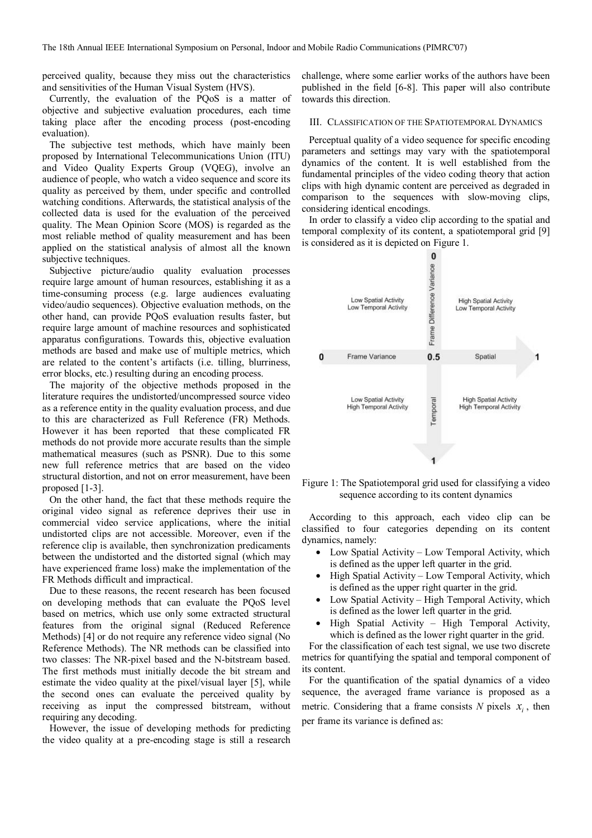perceived quality, because they miss out the characteristics and sensitivities of the Human Visual System (HVS).

Currently, the evaluation of the PQoS is a matter of objective and subjective evaluation procedures, each time taking place after the encoding process (post-encoding evaluation).

The subjective test methods, which have mainly been proposed by International Telecommunications Union (ITU) and Video Quality Experts Group (VQEG), involve an audience of people, who watch a video sequence and score its quality as perceived by them, under specific and controlled watching conditions. Afterwards, the statistical analysis of the collected data is used for the evaluation of the perceived quality. The Mean Opinion Score (MOS) is regarded as the most reliable method of quality measurement and has been applied on the statistical analysis of almost all the known subjective techniques.

Subjective picture/audio quality evaluation processes require large amount of human resources, establishing it as a time-consuming process (e.g. large audiences evaluating video/audio sequences). Objective evaluation methods, on the other hand, can provide PQoS evaluation results faster, but require large amount of machine resources and sophisticated apparatus configurations. Towards this, objective evaluation methods are based and make use of multiple metrics, which are related to the content's artifacts (i.e. tilling, blurriness, error blocks, etc.) resulting during an encoding process.

The majority of the objective methods proposed in the literature requires the undistorted/uncompressed source video as a reference entity in the quality evaluation process, and due to this are characterized as Full Reference (FR) Methods. However it has been reported that these complicated FR methods do not provide more accurate results than the simple mathematical measures (such as PSNR). Due to this some new full reference metrics that are based on the video structural distortion, and not on error measurement, have been proposed [1-3].

On the other hand, the fact that these methods require the original video signal as reference deprives their use in commercial video service applications, where the initial undistorted clips are not accessible. Moreover, even if the reference clip is available, then synchronization predicaments between the undistorted and the distorted signal (which may have experienced frame loss) make the implementation of the FR Methods difficult and impractical.

Due to these reasons, the recent research has been focused on developing methods that can evaluate the PQoS level based on metrics, which use only some extracted structural features from the original signal (Reduced Reference Methods) [4] or do not require any reference video signal (No Reference Methods). The NR methods can be classified into two classes: The NR-pixel based and the N-bitstream based. The first methods must initially decode the bit stream and estimate the video quality at the pixel/visual layer [5], while the second ones can evaluate the perceived quality by receiving as input the compressed bitstream, without requiring any decoding.

However, the issue of developing methods for predicting the video quality at a pre-encoding stage is still a research challenge, where some earlier works of the authors have been published in the field [6-8]. This paper will also contribute towards this direction.

#### III. CLASSIFICATION OF THE SPATIOTEMPORAL DYNAMICS

Perceptual quality of a video sequence for specific encoding parameters and settings may vary with the spatiotemporal dynamics of the content. It is well established from the fundamental principles of the video coding theory that action clips with high dynamic content are perceived as degraded in comparison to the sequences with slow-moving clips, considering identical encodings.

In order to classify a video clip according to the spatial and temporal complexity of its content, a spatiotemporal grid [9] is considered as it is depicted on Figure 1.



Figure 1: The Spatiotemporal grid used for classifying a video sequence according to its content dynamics

According to this approach, each video clip can be classified to four categories depending on its content dynamics, namely:

- Low Spatial Activity Low Temporal Activity, which is defined as the upper left quarter in the grid.
- High Spatial Activity Low Temporal Activity, which is defined as the upper right quarter in the grid.
- Low Spatial Activity High Temporal Activity, which is defined as the lower left quarter in the grid.
- High Spatial Activity High Temporal Activity, which is defined as the lower right quarter in the grid.

For the classification of each test signal, we use two discrete metrics for quantifying the spatial and temporal component of its content.

For the quantification of the spatial dynamics of a video sequence, the averaged frame variance is proposed as a metric. Considering that a frame consists  $N$  pixels  $x_i$ , then per frame its variance is defined as: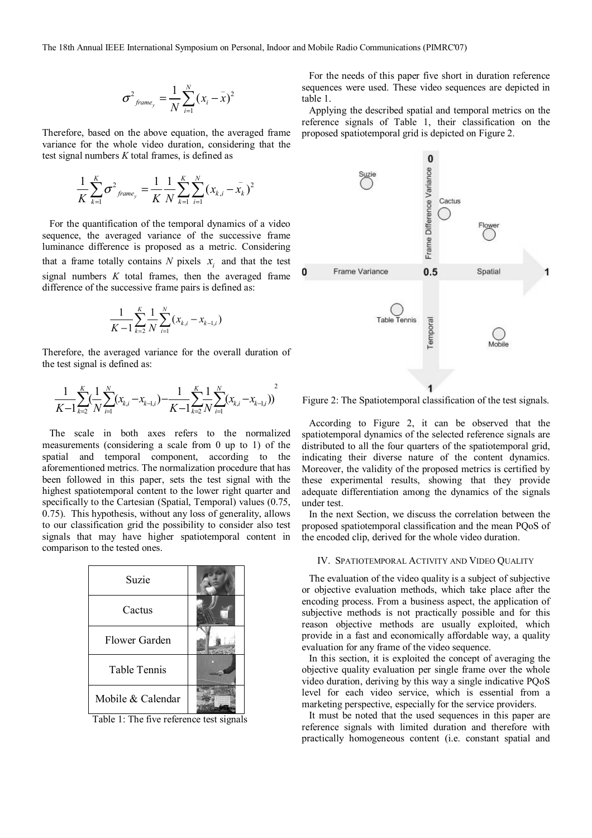The 18th Annual IEEE International Symposium on Personal, Indoor and Mobile Radio Communications (PIMRC'07)

$$
\sigma^2_{\text{frame}_y} = \frac{1}{N} \sum_{i=1}^N (x_i - \bar{x})^2
$$

Therefore, based on the above equation, the averaged frame variance for the whole video duration, considering that the test signal numbers *K* total frames, is defined as

$$
\frac{1}{K}\sum_{k=1}^{K} \sigma^2_{\text{frame}_y} = \frac{1}{K}\frac{1}{N}\sum_{k=1}^{K}\sum_{i=1}^{N} (x_{k,i} - \bar{x}_k)^2
$$

For the quantification of the temporal dynamics of a video sequence, the averaged variance of the successive frame luminance difference is proposed as a metric. Considering that a frame totally contains *N* pixels  $x_i$  and that the test signal numbers *K* total frames, then the averaged frame difference of the successive frame pairs is defined as:

$$
\frac{1}{K-1} \sum_{k=2}^{K} \frac{1}{N} \sum_{i=1}^{N} (x_{k,i} - x_{k-1,i})
$$

Therefore, the averaged variance for the overall duration of the test signal is defined as:

$$
\frac{1}{K-1}\sum_{k=2}^{K}(\frac{1}{N}\sum_{i=1}^{N}(x_{k,i}-x_{k-1,i})-\frac{1}{K-1}\sum_{k=2}^{K}\frac{1}{N}\sum_{i=1}^{N}(x_{k,i}-x_{k-1,i}))^{2}
$$

The scale in both axes refers to the normalized measurements (considering a scale from 0 up to 1) of the spatial and temporal component, according to the aforementioned metrics. The normalization procedure that has been followed in this paper, sets the test signal with the highest spatiotemporal content to the lower right quarter and specifically to the Cartesian (Spatial, Temporal) values (0.75, 0.75). This hypothesis, without any loss of generality, allows to our classification grid the possibility to consider also test signals that may have higher spatiotemporal content in comparison to the tested ones.



Table 1: The five reference test signals

For the needs of this paper five short in duration reference sequences were used. These video sequences are depicted in table 1.

Applying the described spatial and temporal metrics on the reference signals of Table 1, their classification on the proposed spatiotemporal grid is depicted on Figure 2.



Figure 2: The Spatiotemporal classification of the test signals.

According to Figure 2, it can be observed that the spatiotemporal dynamics of the selected reference signals are distributed to all the four quarters of the spatiotemporal grid, indicating their diverse nature of the content dynamics. Moreover, the validity of the proposed metrics is certified by these experimental results, showing that they provide adequate differentiation among the dynamics of the signals under test.

In the next Section, we discuss the correlation between the proposed spatiotemporal classification and the mean PQoS of the encoded clip, derived for the whole video duration.

#### IV. SPATIOTEMPORAL ACTIVITY AND VIDEO QUALITY

The evaluation of the video quality is a subject of subjective or objective evaluation methods, which take place after the encoding process. From a business aspect, the application of subjective methods is not practically possible and for this reason objective methods are usually exploited, which provide in a fast and economically affordable way, a quality evaluation for any frame of the video sequence.

In this section, it is exploited the concept of averaging the objective quality evaluation per single frame over the whole video duration, deriving by this way a single indicative PQoS level for each video service, which is essential from a marketing perspective, especially for the service providers.

It must be noted that the used sequences in this paper are reference signals with limited duration and therefore with practically homogeneous content (i.e. constant spatial and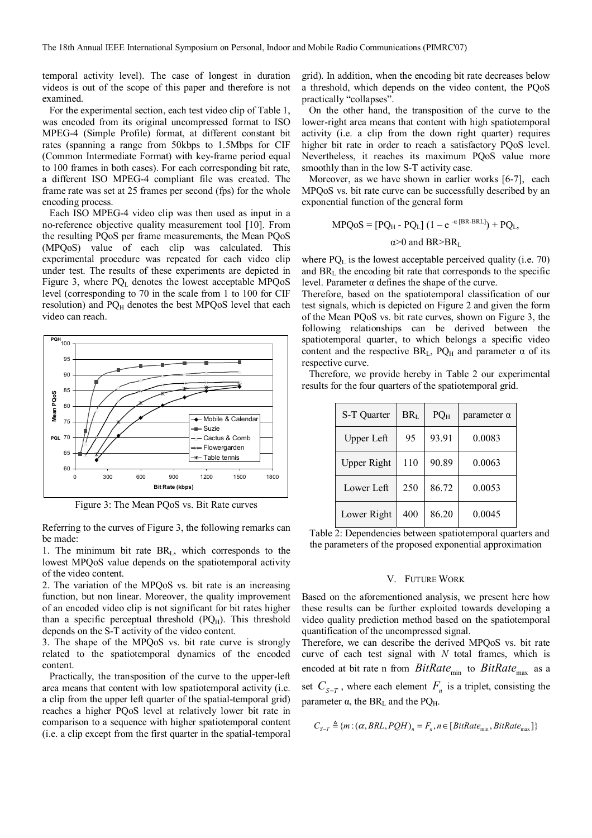temporal activity level). The case of longest in duration videos is out of the scope of this paper and therefore is not examined.

For the experimental section, each test video clip of Table 1, was encoded from its original uncompressed format to ISO MPEG-4 (Simple Profile) format, at different constant bit rates (spanning a range from 50kbps to 1.5Mbps for CIF (Common Intermediate Format) with key-frame period equal to 100 frames in both cases). For each corresponding bit rate, a different ISO MPEG-4 compliant file was created. The frame rate was set at 25 frames per second (fps) for the whole encoding process.

Each ISO MPEG-4 video clip was then used as input in a no-reference objective quality measurement tool [10]. From the resulting PQoS per frame measurements, the Mean PQoS (MPQoS) value of each clip was calculated. This experimental procedure was repeated for each video clip under test. The results of these experiments are depicted in Figure 3, where  $PQ_L$  denotes the lowest acceptable MPQoS level (corresponding to 70 in the scale from 1 to 100 for CIF resolution) and PQH denotes the best MPQoS level that each video can reach.



Figure 3: The Mean PQoS vs. Bit Rate curves

Referring to the curves of Figure 3, the following remarks can be made:

1. The minimum bit rate  $BR<sub>L</sub>$ , which corresponds to the lowest MPQoS value depends on the spatiotemporal activity of the video content.

2. The variation of the MPQoS vs. bit rate is an increasing function, but non linear. Moreover, the quality improvement of an encoded video clip is not significant for bit rates higher than a specific perceptual threshold  $(PQ_H)$ . This threshold depends on the S-T activity of the video content.

3. The shape of the MPQoS vs. bit rate curve is strongly related to the spatiotemporal dynamics of the encoded content.

Practically, the transposition of the curve to the upper-left area means that content with low spatiotemporal activity (i.e. a clip from the upper left quarter of the spatial-temporal grid) reaches a higher PQoS level at relatively lower bit rate in comparison to a sequence with higher spatiotemporal content (i.e. a clip except from the first quarter in the spatial-temporal grid). In addition, when the encoding bit rate decreases below a threshold, which depends on the video content, the PQoS practically "collapses".

On the other hand, the transposition of the curve to the lower-right area means that content with high spatiotemporal activity (i.e. a clip from the down right quarter) requires higher bit rate in order to reach a satisfactory PQoS level. Nevertheless, it reaches its maximum PQoS value more smoothly than in the low S-T activity case.

Moreover, as we have shown in earlier works [6-7], each MPQoS vs. bit rate curve can be successfully described by an exponential function of the general form

$$
MPQoS = [PQH - PQL] (1 - e^{-\alpha [BR-BRL]}) + PQL,
$$
  

$$
\alpha > 0 \text{ and } BR > BRL
$$

where  $PQ<sub>L</sub>$  is the lowest acceptable perceived quality (i.e. 70) and BRL the encoding bit rate that corresponds to the specific level. Parameter α defines the shape of the curve.

Therefore, based on the spatiotemporal classification of our test signals, which is depicted on Figure 2 and given the form of the Mean PQoS vs. bit rate curves, shown on Figure 3, the following relationships can be derived between the spatiotemporal quarter, to which belongs a specific video content and the respective  $BR<sub>L</sub>$ ,  $PQ<sub>H</sub>$  and parameter  $\alpha$  of its respective curve.

Therefore, we provide hereby in Table 2 our experimental results for the four quarters of the spatiotemporal grid.

| S-T Quarter        | BR <sub>L</sub> | PQ <sub>H</sub> | parameter $\alpha$ |
|--------------------|-----------------|-----------------|--------------------|
| Upper Left         | 95              | 93.91           | 0.0083             |
| <b>Upper Right</b> | 110             | 90.89           | 0.0063             |
| Lower Left         | 250             | 86.72           | 0.0053             |
| Lower Right        | 400             | 86.20           | 0.0045             |

Table 2: Dependencies between spatiotemporal quarters and the parameters of the proposed exponential approximation

# V. FUTURE WORK

Based on the aforementioned analysis, we present here how these results can be further exploited towards developing a video quality prediction method based on the spatiotemporal quantification of the uncompressed signal.

Therefore, we can describe the derived MPQoS vs. bit rate curve of each test signal with *N* total frames, which is encoded at bit rate n from *BitRate*<sub>min</sub> to *BitRate*<sub>max</sub> as a set  $C_{S-T}$ , where each element  $F_n$  is a triplet, consisting the parameter  $α$ , the BR<sub>L</sub> and the PQ<sub>H</sub>.

$$
C_{S-T} \triangleq \{m : (\alpha, BRL, PQH)_n = F_n, n \in [BitRate_{min}, BitRate_{max}]\}
$$